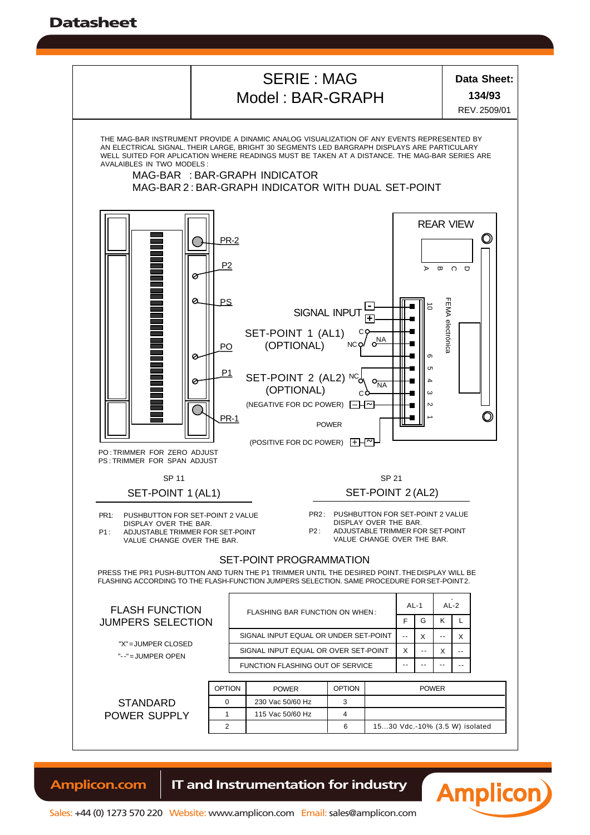Datasheet



**Amplicon.com | IT and Instrumentation for industry**